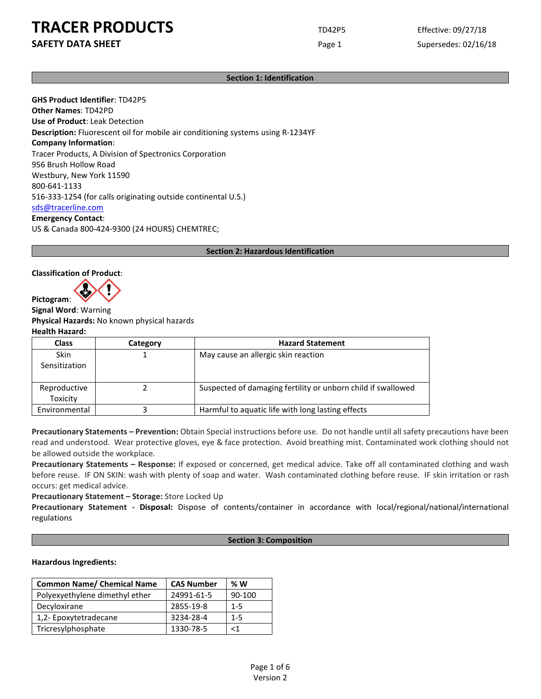### **SAFETY DATA SHEET** SUPERFOUR Page 1 Supersedes: 02/16/18

#### **Section 1: Identification**

**GHS Product Identifier**: TD42P5 **Other Names**: TD42PD **Use of Product**: Leak Detection **Description:** Fluorescent oil for mobile air conditioning systems using R-1234YF **Company Information**: Tracer Products, A Division of Spectronics Corporation 956 Brush Hollow Road Westbury, New York 11590 800-641-1133 516-333-1254 (for calls originating outside continental U.S.) [sds@tracerline.com](mailto:sds@tracerline.com) **Emergency Contact**:

US & Canada 800-424-9300 (24 HOURS) CHEMTREC;

#### **Section 2: Hazardous Identification**

#### **Classification of Product**:

**Pictogram**:

**Signal Word**: Warning **Physical Hazards:** No known physical hazards **Health Hazard:**

| <b>Class</b>                 | Category | <b>Hazard Statement</b>                                      |
|------------------------------|----------|--------------------------------------------------------------|
| <b>Skin</b><br>Sensitization |          | May cause an allergic skin reaction                          |
| Reproductive<br>Toxicity     |          | Suspected of damaging fertility or unborn child if swallowed |
| Environmental                |          | Harmful to aquatic life with long lasting effects            |

**Precautionary Statements – Prevention:** Obtain Special instructions before use. Do not handle until all safety precautions have been read and understood. Wear protective gloves, eye & face protection. Avoid breathing mist. Contaminated work clothing should not be allowed outside the workplace.

**Precautionary Statements – Response:** If exposed or concerned, get medical advice. Take off all contaminated clothing and wash before reuse. IF ON SKIN: wash with plenty of soap and water. Wash contaminated clothing before reuse. IF skin irritation or rash occurs: get medical advice.

**Precautionary Statement – Storage:** Store Locked Up

**Precautionary Statement - Disposal:** Dispose of contents/container in accordance with local/regional/national/international regulations

#### **Section 3: Composition**

#### **Hazardous Ingredients:**

| <b>Common Name/ Chemical Name</b> | <b>CAS Number</b> | %W      |
|-----------------------------------|-------------------|---------|
| Polyexyethylene dimethyl ether    | 24991-61-5        | 90-100  |
| Decyloxirane                      | 2855-19-8         | $1 - 5$ |
| 1,2- Epoxytetradecane             | 3234-28-4         | $1 - 5$ |
| Tricresylphosphate                | 1330-78-5         | -1      |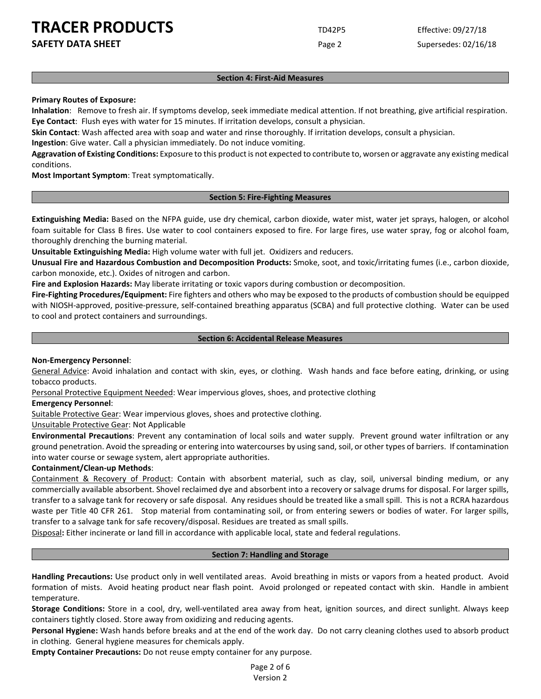**SAFETY DATA SHEET** SUPERFOUR CONSIDERING Page 2 Supersedes: 02/16/18

#### **Section 4: First-Aid Measures**

#### **Primary Routes of Exposure:**

**Inhalation**: Remove to fresh air. If symptoms develop, seek immediate medical attention. If not breathing, give artificial respiration. **Eye Contact**: Flush eyes with water for 15 minutes. If irritation develops, consult a physician.

**Skin Contact**: Wash affected area with soap and water and rinse thoroughly. If irritation develops, consult a physician.

**Ingestion**: Give water. Call a physician immediately. Do not induce vomiting.

**Aggravation of Existing Conditions:** Exposure to this product is not expected to contribute to, worsen or aggravate any existing medical conditions.

**Most Important Symptom**: Treat symptomatically.

#### **Section 5: Fire-Fighting Measures**

**Extinguishing Media:** Based on the NFPA guide, use dry chemical, carbon dioxide, water mist, water jet sprays, halogen, or alcohol foam suitable for Class B fires. Use water to cool containers exposed to fire. For large fires, use water spray, fog or alcohol foam, thoroughly drenching the burning material.

**Unsuitable Extinguishing Media:** High volume water with full jet. Oxidizers and reducers.

**Unusual Fire and Hazardous Combustion and Decomposition Products:** Smoke, soot, and toxic/irritating fumes (i.e., carbon dioxide, carbon monoxide, etc.). Oxides of nitrogen and carbon.

**Fire and Explosion Hazards:** May liberate irritating or toxic vapors during combustion or decomposition.

**Fire-Fighting Procedures/Equipment:** Fire fighters and others who may be exposed to the products of combustion should be equipped with NIOSH-approved, positive-pressure, self-contained breathing apparatus (SCBA) and full protective clothing. Water can be used to cool and protect containers and surroundings.

#### **Section 6: Accidental Release Measures**

#### **Non-Emergency Personnel**:

General Advice: Avoid inhalation and contact with skin, eyes, or clothing. Wash hands and face before eating, drinking, or using tobacco products.

Personal Protective Equipment Needed: Wear impervious gloves, shoes, and protective clothing

#### **Emergency Personnel**:

Suitable Protective Gear: Wear impervious gloves, shoes and protective clothing.

Unsuitable Protective Gear: Not Applicable

**Environmental Precautions**: Prevent any contamination of local soils and water supply. Prevent ground water infiltration or any ground penetration. Avoid the spreading or entering into watercourses by using sand, soil, or other types of barriers. If contamination into water course or sewage system, alert appropriate authorities.

#### **Containment/Clean-up Methods**:

Containment & Recovery of Product: Contain with absorbent material, such as clay, soil, universal binding medium, or any commercially available absorbent. Shovel reclaimed dye and absorbent into a recovery or salvage drums for disposal. For larger spills, transfer to a salvage tank for recovery or safe disposal. Any residues should be treated like a small spill. This is not a RCRA hazardous waste per Title 40 CFR 261. Stop material from contaminating soil, or from entering sewers or bodies of water. For larger spills, transfer to a salvage tank for safe recovery/disposal. Residues are treated as small spills.

Disposal**:** Either incinerate or land fill in accordance with applicable local, state and federal regulations.

#### **Section 7: Handling and Storage**

**Handling Precautions:** Use product only in well ventilated areas. Avoid breathing in mists or vapors from a heated product. Avoid formation of mists. Avoid heating product near flash point. Avoid prolonged or repeated contact with skin. Handle in ambient temperature.

**Storage Conditions:** Store in a cool, dry, well-ventilated area away from heat, ignition sources, and direct sunlight. Always keep containers tightly closed. Store away from oxidizing and reducing agents.

**Personal Hygiene:** Wash hands before breaks and at the end of the work day. Do not carry cleaning clothes used to absorb product in clothing. General hygiene measures for chemicals apply.

**Empty Container Precautions:** Do not reuse empty container for any purpose.

Page 2 of 6 Version 2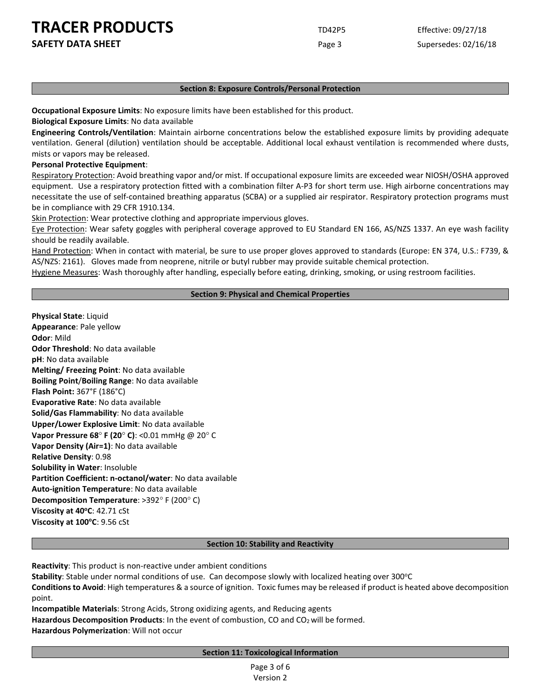**SAFETY DATA SHEET** SUPERFOUR CONSUMING THE Page 3 Supersedes: 02/16/18

#### **Section 8: Exposure Controls/Personal Protection**

**Occupational Exposure Limits**: No exposure limits have been established for this product.

**Biological Exposure Limits**: No data available

**Engineering Controls/Ventilation**: Maintain airborne concentrations below the established exposure limits by providing adequate ventilation. General (dilution) ventilation should be acceptable. Additional local exhaust ventilation is recommended where dusts, mists or vapors may be released.

**Personal Protective Equipment**:

Respiratory Protection: Avoid breathing vapor and/or mist. If occupational exposure limits are exceeded wear NIOSH/OSHA approved equipment. Use a respiratory protection fitted with a combination filter A-P3 for short term use. High airborne concentrations may necessitate the use of self-contained breathing apparatus (SCBA) or a supplied air respirator. Respiratory protection programs must be in compliance with 29 CFR 1910.134.

Skin Protection: Wear protective clothing and appropriate impervious gloves.

Eye Protection: Wear safety goggles with peripheral coverage approved to EU Standard EN 166, AS/NZS 1337. An eye wash facility should be readily available.

Hand Protection: When in contact with material, be sure to use proper gloves approved to standards (Europe: EN 374, U.S.: F739, & AS/NZS: 2161). Gloves made from neoprene, nitrile or butyl rubber may provide suitable chemical protection.

Hygiene Measures: Wash thoroughly after handling, especially before eating, drinking, smoking, or using restroom facilities.

#### **Section 9: Physical and Chemical Properties**

**Physical State**: Liquid **Appearance**: Pale yellow **Odor**: Mild **Odor Threshold**: No data available **pH**: No data available **Melting/ Freezing Point**: No data available **Boiling Point**/**Boiling Range**: No data available **Flash Point:** 367°F (186°C) **Evaporative Rate**: No data available **Solid/Gas Flammability**: No data available **Upper/Lower Explosive Limit**: No data available **Vapor Pressure 68**° **F (20**° **C)**: <0.01 mmHg @ 20° C **Vapor Density (Air=1)**: No data available **Relative Density**: 0.98 **Solubility in Water**: Insoluble **Partition Coefficient: n-octanol/water**: No data available **Auto-ignition Temperature**: No data available **Decomposition Temperature**: >392° F (200° C) **Viscosity at 40°C:** 42.71 cSt **Viscosity at 100°C: 9.56 cSt** 

#### **Section 10: Stability and Reactivity**

**Reactivity**: This product is non-reactive under ambient conditions

Stability: Stable under normal conditions of use. Can decompose slowly with localized heating over 300°C

**Conditions to Avoid**: High temperatures & a source of ignition. Toxic fumes may be released if product is heated above decomposition point.

**Incompatible Materials**: Strong Acids, Strong oxidizing agents, and Reducing agents

Hazardous Decomposition Products: In the event of combustion, CO and CO<sub>2</sub> will be formed.

**Hazardous Polymerization**: Will not occur

#### **Section 11: Toxicological Information**

Page 3 of 6 Version 2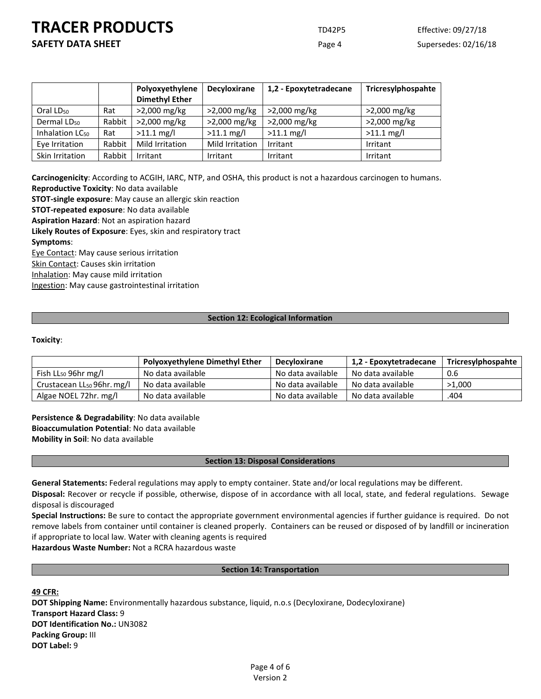**SAFETY DATA SHEET** SUPERFOUR Page 4 Supersedes: 02/16/18

|                             |        | Polyoxyethylene<br><b>Dimethyl Ether</b> | <b>Decyloxirane</b> | 1,2 - Epoxytetradecane | Tricresylphospahte |
|-----------------------------|--------|------------------------------------------|---------------------|------------------------|--------------------|
| Oral LD <sub>50</sub>       | Rat    | >2,000 mg/kg                             | >2,000 mg/kg        | >2,000 mg/kg           | >2,000 mg/kg       |
| Dermal LD <sub>50</sub>     | Rabbit | >2,000 mg/kg                             | >2,000 mg/kg        | >2,000 mg/kg           | >2,000 mg/kg       |
| Inhalation LC <sub>50</sub> | Rat    | $>11.1$ mg/l                             | $>11.1$ mg/l        | $>11.1$ mg/l           | $>11.1$ mg/l       |
| Eye Irritation              | Rabbit | <b>Mild Irritation</b>                   | Mild Irritation     | Irritant               | Irritant           |
| Skin Irritation             | Rabbit | Irritant                                 | Irritant            | Irritant               | Irritant           |

**Carcinogenicity**: According to ACGIH, IARC, NTP, and OSHA, this product is not a hazardous carcinogen to humans. **Reproductive Toxicity**: No data available

**STOT-single exposure**: May cause an allergic skin reaction

**STOT-repeated exposure**: No data available

**Aspiration Hazard**: Not an aspiration hazard

**Likely Routes of Exposure**: Eyes, skin and respiratory tract

#### **Symptoms**:

Eye Contact: May cause serious irritation

Skin Contact: Causes skin irritation

Inhalation: May cause mild irritation

Ingestion: May cause gastrointestinal irritation

#### **Section 12: Ecological Information**

#### **Toxicity**:

|                                 | <b>Polyoxyethylene Dimethyl Ether</b> | <b>Decyloxirane</b> | 1,2 - Epoxytetradecane | Tricresylphospahte |
|---------------------------------|---------------------------------------|---------------------|------------------------|--------------------|
| Fish $LL_{50}$ 96hr mg/l        | No data available                     | No data available   | No data available      | 0.6                |
| Crustacean $LL_{50}$ 96hr. mg/l | No data available                     | No data available   | No data available      | >1.000             |
| Algae NOEL 72hr. mg/l           | No data available                     | No data available   | No data available      | .404               |

**Persistence & Degradability**: No data available **Bioaccumulation Potential**: No data available **Mobility in Soil**: No data available

#### **Section 13: Disposal Considerations**

**General Statements:** Federal regulations may apply to empty container. State and/or local regulations may be different.

**Disposal:** Recover or recycle if possible, otherwise, dispose of in accordance with all local, state, and federal regulations. Sewage disposal is discouraged

**Special Instructions:** Be sure to contact the appropriate government environmental agencies if further guidance is required. Do not remove labels from container until container is cleaned properly. Containers can be reused or disposed of by landfill or incineration if appropriate to local law. Water with cleaning agents is required

**Hazardous Waste Number:** Not a RCRA hazardous waste

#### **Section 14: Transportation**

**49 CFR:**

**DOT Shipping Name:** Environmentally hazardous substance, liquid, n.o.s (Decyloxirane, Dodecyloxirane) **Transport Hazard Class:** 9 **DOT Identification No.:** UN3082 **Packing Group:** III **DOT Label:** 9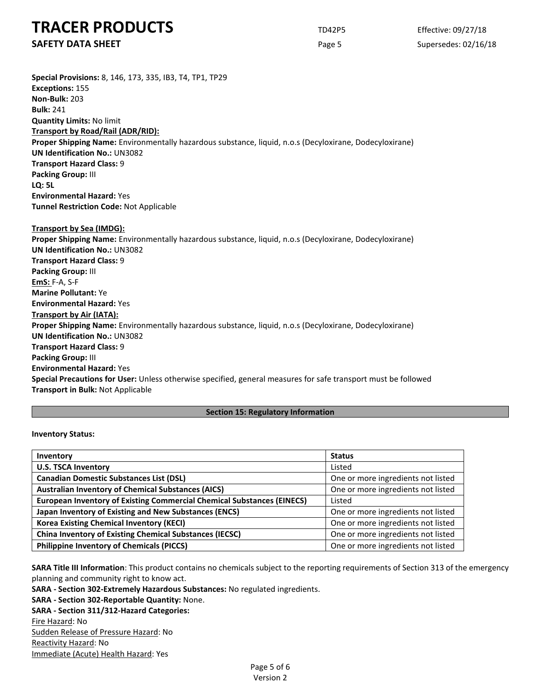**SAFETY DATA SHEET** SUPERFOUR CONSIDERING Page 5 Supersedes: 02/16/18

**Special Provisions:** 8, 146, 173, 335, IB3, T4, TP1, TP29 **Exceptions:** 155 **Non-Bulk:** 203 **Bulk:** 241 **Quantity Limits:** No limit **Transport by Road/Rail (ADR/RID): Proper Shipping Name:** Environmentally hazardous substance, liquid, n.o.s (Decyloxirane, Dodecyloxirane) **UN Identification No.:** UN3082 **Transport Hazard Class:** 9 **Packing Group:** III **LQ: 5L Environmental Hazard:** Yes **Tunnel Restriction Code:** Not Applicable **Transport by Sea (IMDG): Proper Shipping Name:** Environmentally hazardous substance, liquid, n.o.s (Decyloxirane, Dodecyloxirane) **UN Identification No.:** UN3082 **Transport Hazard Class:** 9 **Packing Group:** III **EmS:** F-A, S-F **Marine Pollutant:** Ye **Environmental Hazard:** Yes **Transport by Air (IATA): Proper Shipping Name:** Environmentally hazardous substance, liquid, n.o.s (Decyloxirane, Dodecyloxirane) **UN Identification No.:** UN3082 **Transport Hazard Class:** 9 **Packing Group:** III **Environmental Hazard:** Yes **Special Precautions for User:** Unless otherwise specified, general measures for safe transport must be followed **Transport in Bulk:** Not Applicable

#### **Section 15: Regulatory Information**

#### **Inventory Status:**

| Inventory                                                                     | <b>Status</b>                      |  |
|-------------------------------------------------------------------------------|------------------------------------|--|
| <b>U.S. TSCA Inventory</b>                                                    | Listed                             |  |
| <b>Canadian Domestic Substances List (DSL)</b>                                | One or more ingredients not listed |  |
| <b>Australian Inventory of Chemical Substances (AICS)</b>                     | One or more ingredients not listed |  |
| <b>European Inventory of Existing Commercial Chemical Substances (EINECS)</b> | Listed                             |  |
| Japan Inventory of Existing and New Substances (ENCS)                         | One or more ingredients not listed |  |
| <b>Korea Existing Chemical Inventory (KECI)</b>                               | One or more ingredients not listed |  |
| <b>China Inventory of Existing Chemical Substances (IECSC)</b>                | One or more ingredients not listed |  |
| <b>Philippine Inventory of Chemicals (PICCS)</b>                              | One or more ingredients not listed |  |

**SARA Title III Information**: This product contains no chemicals subject to the reporting requirements of Section 313 of the emergency planning and community right to know act.

**SARA - Section 302-Extremely Hazardous Substances:** No regulated ingredients.

**SARA - Section 302-Reportable Quantity:** None.

**SARA - Section 311/312-Hazard Categories:**

Fire Hazard: No

Sudden Release of Pressure Hazard: No Reactivity Hazard: No Immediate (Acute) Health Hazard: Yes